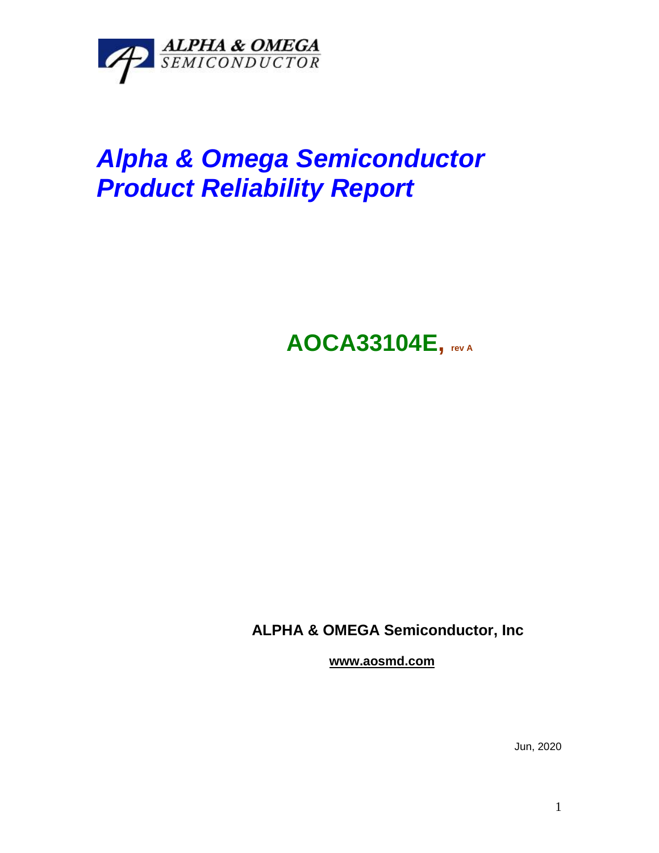

## *Alpha & Omega Semiconductor Product Reliability Report*

**AOCA33104E, rev <sup>A</sup>**

**ALPHA & OMEGA Semiconductor, Inc**

**www.aosmd.com**

Jun, 2020